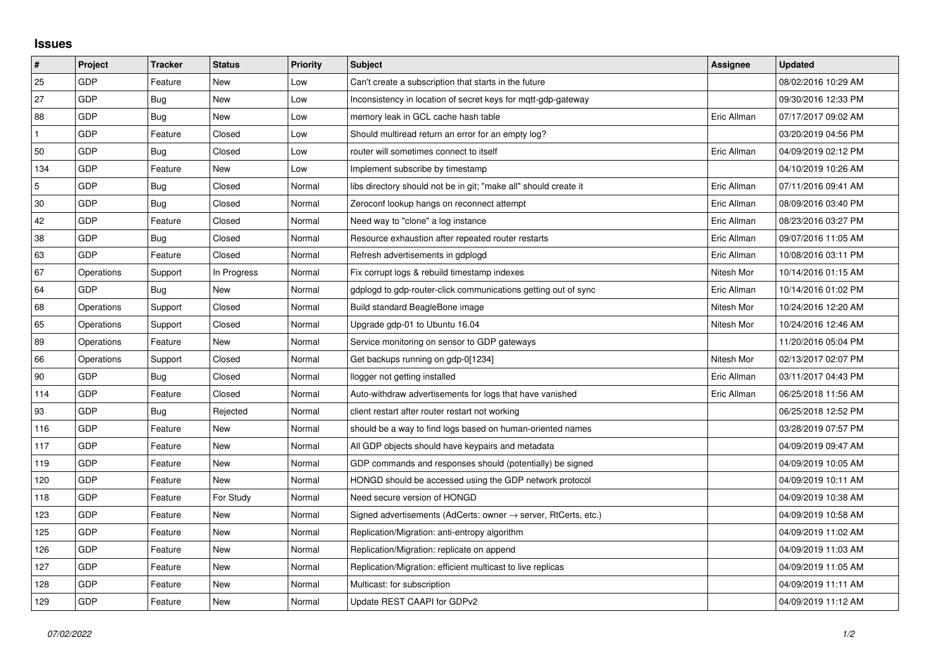## **Issues**

| #   | Project    | <b>Tracker</b> | <b>Status</b> | <b>Priority</b> | <b>Subject</b>                                                             | <b>Assignee</b> | Updated             |
|-----|------------|----------------|---------------|-----------------|----------------------------------------------------------------------------|-----------------|---------------------|
| 25  | GDP        | Feature        | New           | Low             | Can't create a subscription that starts in the future                      |                 | 08/02/2016 10:29 AM |
| 27  | GDP        | <b>Bug</b>     | New           | Low             | Inconsistency in location of secret keys for mqtt-gdp-gateway              |                 | 09/30/2016 12:33 PM |
| 88  | GDP        | <b>Bug</b>     | New           | Low             | memory leak in GCL cache hash table                                        | Eric Allman     | 07/17/2017 09:02 AM |
|     | GDP        | Feature        | Closed        | Low             | Should multiread return an error for an empty log?                         |                 | 03/20/2019 04:56 PM |
| 50  | GDP        | Bug            | Closed        | Low             | router will sometimes connect to itself                                    | Eric Allman     | 04/09/2019 02:12 PM |
| 134 | GDP        | Feature        | New           | Low             | Implement subscribe by timestamp                                           |                 | 04/10/2019 10:26 AM |
| 5   | GDP        | Bug            | Closed        | Normal          | libs directory should not be in git; "make all" should create it           | Eric Allman     | 07/11/2016 09:41 AM |
| 30  | GDP        | Bug            | Closed        | Normal          | Zeroconf lookup hangs on reconnect attempt                                 | Eric Allman     | 08/09/2016 03:40 PM |
| 42  | GDP        | Feature        | Closed        | Normal          | Need way to "clone" a log instance                                         | Eric Allman     | 08/23/2016 03:27 PM |
| 38  | GDP        | Bug            | Closed        | Normal          | Resource exhaustion after repeated router restarts                         | Eric Allman     | 09/07/2016 11:05 AM |
| 63  | GDP        | Feature        | Closed        | Normal          | Refresh advertisements in gdplogd                                          | Eric Allman     | 10/08/2016 03:11 PM |
| 67  | Operations | Support        | In Progress   | Normal          | Fix corrupt logs & rebuild timestamp indexes                               | Nitesh Mor      | 10/14/2016 01:15 AM |
| 64  | GDP        | <b>Bug</b>     | <b>New</b>    | Normal          | gdplogd to gdp-router-click communications getting out of sync             | Eric Allman     | 10/14/2016 01:02 PM |
| 68  | Operations | Support        | Closed        | Normal          | Build standard BeagleBone image                                            | Nitesh Mor      | 10/24/2016 12:20 AM |
| 65  | Operations | Support        | Closed        | Normal          | Upgrade gdp-01 to Ubuntu 16.04                                             | Nitesh Mor      | 10/24/2016 12:46 AM |
| 89  | Operations | Feature        | <b>New</b>    | Normal          | Service monitoring on sensor to GDP gateways                               |                 | 11/20/2016 05:04 PM |
| 66  | Operations | Support        | Closed        | Normal          | Get backups running on gdp-0[1234]                                         | Nitesh Mor      | 02/13/2017 02:07 PM |
| 90  | GDP        | Bug            | Closed        | Normal          | llogger not getting installed                                              | Eric Allman     | 03/11/2017 04:43 PM |
| 114 | GDP        | Feature        | Closed        | Normal          | Auto-withdraw advertisements for logs that have vanished                   | Eric Allman     | 06/25/2018 11:56 AM |
| 93  | GDP        | Bug            | Rejected      | Normal          | client restart after router restart not working                            |                 | 06/25/2018 12:52 PM |
| 116 | GDP        | Feature        | New           | Normal          | should be a way to find logs based on human-oriented names                 |                 | 03/28/2019 07:57 PM |
| 117 | GDP        | Feature        | <b>New</b>    | Normal          | All GDP objects should have keypairs and metadata                          |                 | 04/09/2019 09:47 AM |
| 119 | GDP        | Feature        | New           | Normal          | GDP commands and responses should (potentially) be signed                  |                 | 04/09/2019 10:05 AM |
| 120 | GDP        | Feature        | New           | Normal          | HONGD should be accessed using the GDP network protocol                    |                 | 04/09/2019 10:11 AM |
| 118 | GDP        | Feature        | For Study     | Normal          | Need secure version of HONGD                                               |                 | 04/09/2019 10:38 AM |
| 123 | GDP        | Feature        | New           | Normal          | Signed advertisements (AdCerts: owner $\rightarrow$ server, RtCerts, etc.) |                 | 04/09/2019 10:58 AM |
| 125 | GDP        | Feature        | New           | Normal          | Replication/Migration: anti-entropy algorithm                              |                 | 04/09/2019 11:02 AM |
| 126 | GDP        | Feature        | New           | Normal          | Replication/Migration: replicate on append                                 |                 | 04/09/2019 11:03 AM |
| 127 | GDP        | Feature        | New           | Normal          | Replication/Migration: efficient multicast to live replicas                |                 | 04/09/2019 11:05 AM |
| 128 | GDP        | Feature        | New           | Normal          | Multicast: for subscription                                                |                 | 04/09/2019 11:11 AM |
| 129 | GDP        | Feature        | New           | Normal          | Update REST CAAPI for GDPv2                                                |                 | 04/09/2019 11:12 AM |